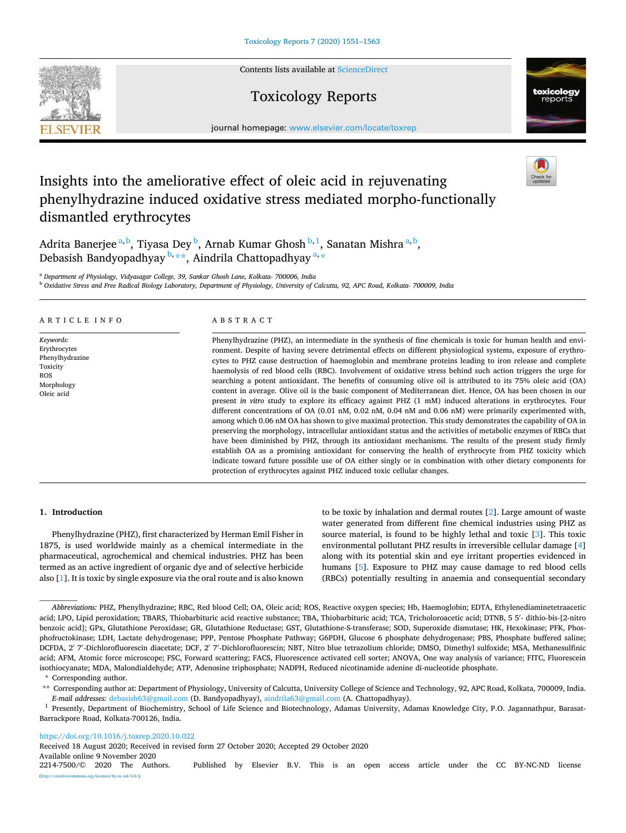Contents lists available at [ScienceDirect](www.sciencedirect.com/science/journal/22147500)

# Toxicology Reports

journal homepage: [www.elsevier.com/locate/toxrep](https://www.elsevier.com/locate/toxrep)

# Insights into the ameliorative effect of oleic acid in rejuvenating phenylhydrazine induced oxidative stress mediated morpho-functionally dismantled erythrocytes

Adrita Banerjee <sup>a, b</sup>, Tiyasa Dey <sup>b</sup>, Arnab Kumar Ghosh <sup>b, 1</sup>, Sanatan Mishra <sup>a, b</sup>, Debasish Bandyopadhyay  $^{\mathrm{b},\ast\ast}$ , Aindrila Chattopadhyay  $^{\mathrm{a},\ast}$ 

<sup>a</sup> *Department of Physiology, Vidyasagar College, 39, Sankar Ghosh Lane, Kolkata- 700006, India* 

<sup>b</sup> *Oxidative Stress and Free Radical Biology Laboratory, Department of Physiology, University of Calcutta, 92, APC Road, Kolkata- 700009, India* 

# A R T I C L E I N F O

*Keywords:*  Erythrocytes Phenylhydrazine Toxicity ROS Morphology Oleic acid

# ABSTRACT

Phenylhydrazine (PHZ), an intermediate in the synthesis of fine chemicals is toxic for human health and environment. Despite of having severe detrimental effects on different physiological systems, exposure of erythrocytes to PHZ cause destruction of haemoglobin and membrane proteins leading to iron release and complete haemolysis of red blood cells (RBC). Involvement of oxidative stress behind such action triggers the urge for searching a potent antioxidant. The benefits of consuming olive oil is attributed to its 75% oleic acid (OA) content in average. Olive oil is the basic component of Mediterranean diet. Hence, OA has been chosen in our present *in vitro* study to explore its efficacy against PHZ (1 mM) induced alterations in erythrocytes. Four different concentrations of OA (0.01 nM, 0.02 nM, 0.04 nM and 0.06 nM) were primarily experimented with, among which 0.06 nM OA has shown to give maximal protection. This study demonstrates the capability of OA in preserving the morphology, intracellular antioxidant status and the activities of metabolic enzymes of RBCs that have been diminished by PHZ, through its antioxidant mechanisms. The results of the present study firmly establish OA as a promising antioxidant for conserving the health of erythrocyte from PHZ toxicity which indicate toward future possible use of OA either singly or in combination with other dietary components for protection of erythrocytes against PHZ induced toxic cellular changes.

# **1. Introduction**

Phenylhydrazine (PHZ), first characterized by Herman Emil Fisher in 1875, is used worldwide mainly as a chemical intermediate in the pharmaceutical, agrochemical and chemical industries. PHZ has been termed as an active ingredient of organic dye and of selective herbicide also [[1\]](#page-10-0). It is toxic by single exposure via the oral route and is also known to be toxic by inhalation and dermal routes [\[2](#page-10-0)]. Large amount of waste water generated from different fine chemical industries using PHZ as source material, is found to be highly lethal and toxic [\[3\]](#page-10-0). This toxic environmental pollutant PHZ results in irreversible cellular damage [[4](#page-10-0)] along with its potential skin and eye irritant properties evidenced in humans [\[5\]](#page-10-0). Exposure to PHZ may cause damage to red blood cells (RBCs) potentially resulting in anaemia and consequential secondary

#### <https://doi.org/10.1016/j.toxrep.2020.10.022>

Received 18 August 2020; Received in revised form 27 October 2020; Accepted 29 October 2020

Available online 9 November 2020<br>2214-7500/© 2020 The Authors Published by Elsevier B.V. This is an open access article under the CC BY-NC-ND license ses/by-nc-nd/4.0/).







*Abbreviations:* PHZ, Phenylhydrazine; RBC, Red blood Cell; OA, Oleic acid; ROS, Reactive oxygen species; Hb, Haemoglobin; EDTA, Ethylenediaminetetraacetic acid; LPO, Lipid peroxidation; TBARS, Thiobarbituric acid reactive substance; TBA, Thiobarbituric acid; TCA, Tricholoroacetic acid; DTNB, 5 5′ - dithio-bis-[2-nitro benzoic acid]; GPx, Glutathione Peroxidase; GR, Glutathione Reductase; GST, Glutathione-S-transferase; SOD, Superoxide dismutase; HK, Hexokinase; PFK, Phosphofructokinase; LDH, Lactate dehydrogenase; PPP, Pentose Phosphate Pathway; G6PDH, Glucose 6 phosphate dehydrogenase; PBS, Phosphate buffered saline; DCFDA, 2' 7'-Dichlorofluorescin diacetate; DCF, 2' 7'-Dichlorofluorescin; NBT, Nitro blue tetrazolium chloride; DMSO, Dimethyl sulfoxide; MSA, Methanesulfinic acid; AFM, Atomic force microscope; FSC, Forward scattering; FACS, Fluorescence activated cell sorter; ANOVA, One way analysis of variance; FITC, Fluorescein isothiocyanate; MDA, Malondialdehyde; ATP, Adenosine triphosphate; NADPH, Reduced nicotinamide adenine di-nucleotide phosphate. \* Corresponding author.

<sup>\*\*</sup> Corresponding author at: Department of Physiology, University of Calcutta, University College of Science and Technology, 92, APC Road, Kolkata, 700009, India. *E-mail addresses:* [debasish63@gmail.com](mailto:debasish63@gmail.com) (D. Bandyopadhyay), [aindrila63@gmail.com](mailto:aindrila63@gmail.com) (A. Chattopadhyay).

<sup>&</sup>lt;sup>1</sup> Presently, Department of Biochemistry, School of Life Science and Biotechnology, Adamas University, Adamas Knowledge City, P.O. Jagannathpur, Barasat-Barrackpore Road, Kolkata-700126, India.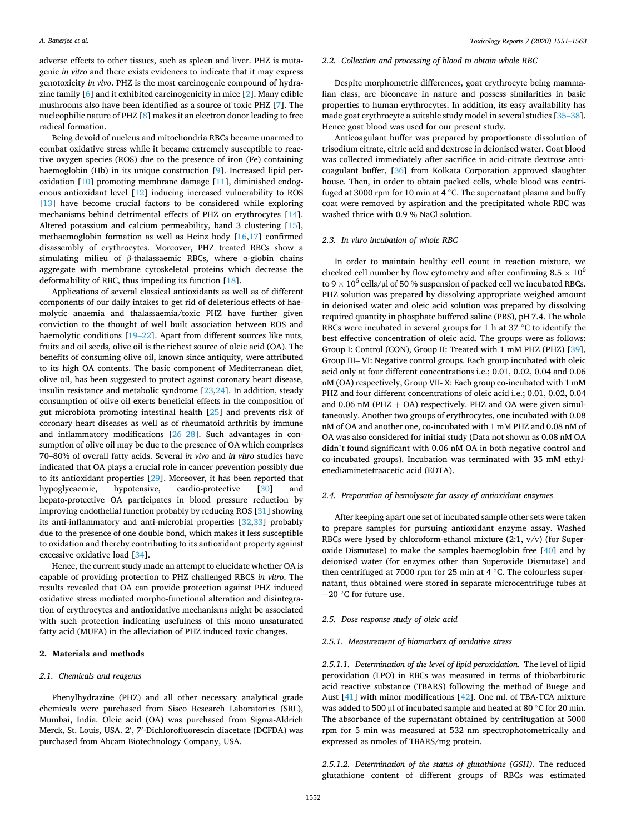adverse effects to other tissues, such as spleen and liver. PHZ is mutagenic *in vitro* and there exists evidences to indicate that it may express genotoxicity *in vivo*. PHZ is the most carcinogenic compound of hydrazine family [\[6\]](#page-11-0) and it exhibited carcinogenicity in mice [[2](#page-10-0)]. Many edible mushrooms also have been identified as a source of toxic PHZ [[7](#page-11-0)]. The nucleophilic nature of PHZ [[8](#page-11-0)] makes it an electron donor leading to free radical formation.

Being devoid of nucleus and mitochondria RBCs became unarmed to combat oxidative stress while it became extremely susceptible to reactive oxygen species (ROS) due to the presence of iron (Fe) containing haemoglobin (Hb) in its unique construction [\[9\]](#page-11-0). Increased lipid peroxidation [\[10](#page-11-0)] promoting membrane damage [\[11](#page-11-0)], diminished endogenous antioxidant level [\[12](#page-11-0)] inducing increased vulnerability to ROS [[13\]](#page-11-0) have become crucial factors to be considered while exploring mechanisms behind detrimental effects of PHZ on erythrocytes [\[14](#page-11-0)]. Altered potassium and calcium permeability, band 3 clustering [\[15](#page-11-0)], methaemoglobin formation as well as Heinz body [[16,17](#page-11-0)] confirmed disassembly of erythrocytes. Moreover, PHZ treated RBCs show a simulating milieu of β-thalassaemic RBCs, where α-globin chains aggregate with membrane cytoskeletal proteins which decrease the deformability of RBC, thus impeding its function [\[18\]](#page-11-0).

Applications of several classical antioxidants as well as of different components of our daily intakes to get rid of deleterious effects of haemolytic anaemia and thalassaemia/toxic PHZ have further given conviction to the thought of well built association between ROS and haemolytic conditions [\[19](#page-11-0)–22]. Apart from different sources like nuts, fruits and oil seeds, olive oil is the richest source of oleic acid (OA). The benefits of consuming olive oil, known since antiquity, were attributed to its high OA contents. The basic component of Mediterranean diet, olive oil, has been suggested to protect against coronary heart disease, insulin resistance and metabolic syndrome [\[23,24](#page-11-0)]. In addition, steady consumption of olive oil exerts beneficial effects in the composition of gut microbiota promoting intestinal health [[25\]](#page-11-0) and prevents risk of coronary heart diseases as well as of rheumatoid arthritis by immune and inflammatory modifications [26–[28\]](#page-11-0). Such advantages in consumption of olive oil may be due to the presence of OA which comprises 70–80% of overall fatty acids. Several *in vivo* and *in vitro* studies have indicated that OA plays a crucial role in cancer prevention possibly due to its antioxidant properties [\[29](#page-11-0)]. Moreover, it has been reported that hypoglycaemic, hypotensive, cardio-protective [[30\]](#page-11-0) and hepato-protective OA participates in blood pressure reduction by improving endothelial function probably by reducing ROS [\[31](#page-11-0)] showing its anti-inflammatory and anti-microbial properties [\[32,33](#page-11-0)] probably due to the presence of one double bond, which makes it less susceptible to oxidation and thereby contributing to its antioxidant property against excessive oxidative load [\[34](#page-11-0)].

Hence, the current study made an attempt to elucidate whether OA is capable of providing protection to PHZ challenged RBCS *in vitro*. The results revealed that OA can provide protection against PHZ induced oxidative stress mediated morpho-functional alteration and disintegration of erythrocytes and antioxidative mechanisms might be associated with such protection indicating usefulness of this mono unsaturated fatty acid (MUFA) in the alleviation of PHZ induced toxic changes.

# **2. Materials and methods**

#### *2.1. Chemicals and reagents*

Phenylhydrazine (PHZ) and all other necessary analytical grade chemicals were purchased from Sisco Research Laboratories (SRL), Mumbai, India. Oleic acid (OA) was purchased from Sigma-Aldrich Merck, St. Louis, USA. 2', 7'-Dichlorofluorescin diacetate (DCFDA) was purchased from Abcam Biotechnology Company, USA.

# *2.2. Collection and processing of blood to obtain whole RBC*

Despite morphometric differences, goat erythrocyte being mammalian class, are biconcave in nature and possess similarities in basic properties to human erythrocytes. In addition, its easy availability has made goat erythrocyte a suitable study model in several studies [\[35](#page-11-0)–38]. Hence goat blood was used for our present study.

Anticoagulant buffer was prepared by proportionate dissolution of trisodium citrate, citric acid and dextrose in deionised water. Goat blood was collected immediately after sacrifice in acid-citrate dextrose anticoagulant buffer, [\[36](#page-11-0)] from Kolkata Corporation approved slaughter house. Then, in order to obtain packed cells, whole blood was centrifuged at 3000 rpm for 10 min at 4 ◦C. The supernatant plasma and buffy coat were removed by aspiration and the precipitated whole RBC was washed thrice with 0.9 % NaCl solution.

#### *2.3. In vitro incubation of whole RBC*

In order to maintain healthy cell count in reaction mixture, we checked cell number by flow cytometry and after confirming  $8.5 \times 10^6$ to 9  $\times$  10<sup>6</sup> cells/µl of 50 % suspension of packed cell we incubated RBCs. PHZ solution was prepared by dissolving appropriate weighed amount in deionised water and oleic acid solution was prepared by dissolving required quantity in phosphate buffered saline (PBS), pH 7.4. The whole RBCs were incubated in several groups for 1 h at 37 ◦C to identify the best effective concentration of oleic acid. The groups were as follows: Group I: Control (CON), Group II: Treated with 1 mM PHZ (PHZ) [\[39](#page-11-0)], Group III– VI: Negative control groups. Each group incubated with oleic acid only at four different concentrations i.e.; 0.01, 0.02, 0.04 and 0.06 nM (OA) respectively, Group VII- X: Each group co-incubated with 1 mM PHZ and four different concentrations of oleic acid i.e.; 0.01, 0.02, 0.04 and 0.06 nM (PHZ  $+$  OA) respectively. PHZ and OA were given simultaneously. Another two groups of erythrocytes, one incubated with 0.08 nM of OA and another one, co-incubated with 1 mM PHZ and 0.08 nM of OA was also considered for initial study (Data not shown as 0.08 nM OA didn't found significant with 0.06 nM OA in both negative control and co-incubated groups). Incubation was terminated with 35 mM ethylenediaminetetraacetic acid (EDTA).

#### *2.4. Preparation of hemolysate for assay of antioxidant enzymes*

After keeping apart one set of incubated sample other sets were taken to prepare samples for pursuing antioxidant enzyme assay. Washed RBCs were lysed by chloroform-ethanol mixture (2:1, v/v) (for Superoxide Dismutase) to make the samples haemoglobin free [\[40](#page-11-0)] and by deionised water (for enzymes other than Superoxide Dismutase) and then centrifuged at 7000 rpm for 25 min at 4 ◦C. The colourless supernatant, thus obtained were stored in separate microcentrifuge tubes at −20 ◦C for future use.

# *2.5. Dose response study of oleic acid*

#### *2.5.1. Measurement of biomarkers of oxidative stress*

*2.5.1.1. Determination of the level of lipid peroxidation.* The level of lipid peroxidation (LPO) in RBCs was measured in terms of thiobarbituric acid reactive substance (TBARS) following the method of Buege and Aust [\[41](#page-11-0)] with minor modifications [\[42](#page-11-0)]. One ml. of TBA-TCA mixture was added to 500 μl of incubated sample and heated at 80 °C for 20 min. The absorbance of the supernatant obtained by centrifugation at 5000 rpm for 5 min was measured at 532 nm spectrophotometrically and expressed as nmoles of TBARS/mg protein.

*2.5.1.2. Determination of the status of glutathione (GSH).* The reduced glutathione content of different groups of RBCs was estimated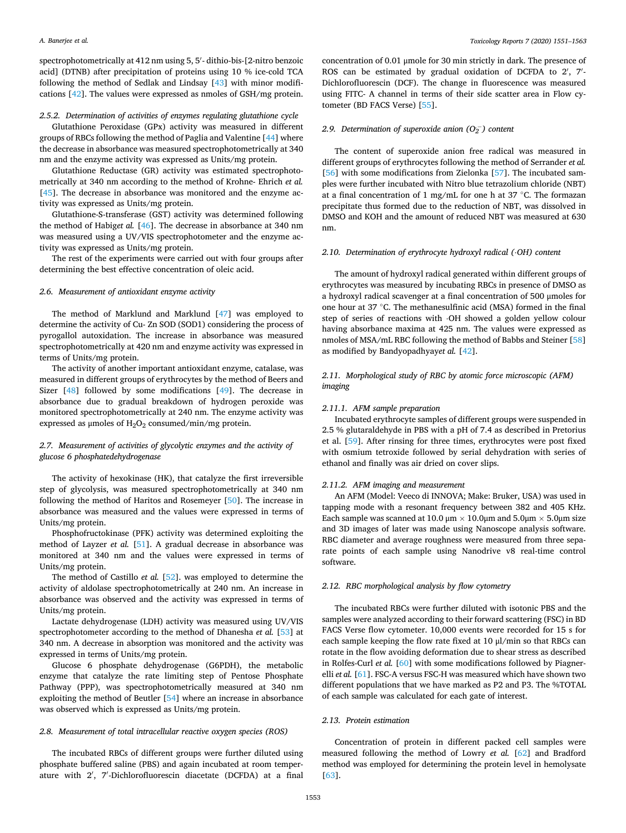spectrophotometrically at 412 nm using 5, 5′ - dithio-bis-[2-nitro benzoic acid] (DTNB) after precipitation of proteins using 10 % ice-cold TCA following the method of Sedlak and Lindsay [\[43](#page-11-0)] with minor modifications [\[42](#page-11-0)]. The values were expressed as nmoles of GSH/mg protein.

# *2.5.2. Determination of activities of enzymes regulating glutathione cycle*

Glutathione Peroxidase (GPx) activity was measured in different groups of RBCs following the method of Paglia and Valentine [[44\]](#page-11-0) where the decrease in absorbance was measured spectrophotometrically at 340 nm and the enzyme activity was expressed as Units/mg protein.

Glutathione Reductase (GR) activity was estimated spectrophotometrically at 340 nm according to the method of Krohne- Ehrich *et al.*  [[45\]](#page-11-0). The decrease in absorbance was monitored and the enzyme activity was expressed as Units/mg protein.

Glutathione-S-transferase (GST) activity was determined following the method of Habig*et al.* [\[46](#page-11-0)]. The decrease in absorbance at 340 nm was measured using a UV/VIS spectrophotometer and the enzyme activity was expressed as Units/mg protein.

The rest of the experiments were carried out with four groups after determining the best effective concentration of oleic acid.

# *2.6. Measurement of antioxidant enzyme activity*

The method of Marklund and Marklund [\[47](#page-11-0)] was employed to determine the activity of Cu- Zn SOD (SOD1) considering the process of pyrogallol autoxidation. The increase in absorbance was measured spectrophotometrically at 420 nm and enzyme activity was expressed in terms of Units/mg protein.

The activity of another important antioxidant enzyme, catalase, was measured in different groups of erythrocytes by the method of Beers and Sizer [\[48](#page-11-0)] followed by some modifications [[49\]](#page-11-0). The decrease in absorbance due to gradual breakdown of hydrogen peroxide was monitored spectrophotometrically at 240 nm. The enzyme activity was expressed as  $\mu$ moles of H<sub>2</sub>O<sub>2</sub> consumed/min/mg protein.

# *2.7. Measurement of activities of glycolytic enzymes and the activity of glucose 6 phosphatedehydrogenase*

The activity of hexokinase (HK), that catalyze the first irreversible step of glycolysis, was measured spectrophotometrically at 340 nm following the method of Haritos and Rosemeyer [[50\]](#page-11-0). The increase in absorbance was measured and the values were expressed in terms of Units/mg protein.

Phosphofructokinase (PFK) activity was determined exploiting the method of Layzer *et al.* [\[51](#page-11-0)]. A gradual decrease in absorbance was monitored at 340 nm and the values were expressed in terms of Units/mg protein.

The method of Castillo *et al.* [[52\]](#page-11-0). was employed to determine the activity of aldolase spectrophotometrically at 240 nm. An increase in absorbance was observed and the activity was expressed in terms of Units/mg protein.

Lactate dehydrogenase (LDH) activity was measured using UV/VIS spectrophotometer according to the method of Dhanesha *et al.* [[53\]](#page-11-0) at 340 nm. A decrease in absorption was monitored and the activity was expressed in terms of Units/mg protein.

Glucose 6 phosphate dehydrogenase (G6PDH), the metabolic enzyme that catalyze the rate limiting step of Pentose Phosphate Pathway (PPP), was spectrophotometrically measured at 340 nm exploiting the method of Beutler [[54\]](#page-11-0) where an increase in absorbance was observed which is expressed as Units/mg protein.

#### *2.8. Measurement of total intracellular reactive oxygen species (ROS)*

The incubated RBCs of different groups were further diluted using phosphate buffered saline (PBS) and again incubated at room temperature with 2′ , 7′ -Dichlorofluorescin diacetate (DCFDA) at a final concentration of 0.01 μmole for 30 min strictly in dark. The presence of ROS can be estimated by gradual oxidation of DCFDA to 2', 7'-Dichlorofluorescin (DCF). The change in fluorescence was measured using FITC- A channel in terms of their side scatter area in Flow cytometer (BD FACS Verse) [[55\]](#page-11-0).

# 2.9. Determination of superoxide anion  $(O_2^-)$  content

The content of superoxide anion free radical was measured in different groups of erythrocytes following the method of Serrander *et al.*  [[56\]](#page-11-0) with some modifications from Zielonka [[57\]](#page-12-0). The incubated samples were further incubated with Nitro blue tetrazolium chloride (NBT) at a final concentration of 1 mg/mL for one h at 37 ◦C. The formazan precipitate thus formed due to the reduction of NBT, was dissolved in DMSO and KOH and the amount of reduced NBT was measured at 630 nm.

#### *2.10. Determination of erythrocyte hydroxyl radical (*⋅*OH) content*

The amount of hydroxyl radical generated within different groups of erythrocytes was measured by incubating RBCs in presence of DMSO as a hydroxyl radical scavenger at a final concentration of 500 μmoles for one hour at 37 ◦C. The methanesulfinic acid (MSA) formed in the final step of series of reactions with ⋅OH showed a golden yellow colour having absorbance maxima at 425 nm. The values were expressed as nmoles of MSA/mL RBC following the method of Babbs and Steiner [\[58](#page-12-0)] as modified by Bandyopadhyay*et al.* [\[42](#page-11-0)].

# *2.11. Morphological study of RBC by atomic force microscopic (AFM) imaging*

### *2.11.1. AFM sample preparation*

Incubated erythrocyte samples of different groups were suspended in 2.5 % glutaraldehyde in PBS with a pH of 7.4 as described in Pretorius et al. [\[59](#page-12-0)]. After rinsing for three times, erythrocytes were post fixed with osmium tetroxide followed by serial dehydration with series of ethanol and finally was air dried on cover slips.

#### *2.11.2. AFM imaging and measurement*

An AFM (Model: Veeco di INNOVA; Make: Bruker, USA) was used in tapping mode with a resonant frequency between 382 and 405 KHz. Each sample was scanned at 10.0  $\mu$ m  $\times$  10.0 $\mu$ m and 5.0 $\mu$ m  $\times$  5.0 $\mu$ m size and 3D images of later was made using Nanoscope analysis software. RBC diameter and average roughness were measured from three separate points of each sample using Nanodrive v8 real-time control software.

# *2.12. RBC morphological analysis by flow cytometry*

The incubated RBCs were further diluted with isotonic PBS and the samples were analyzed according to their forward scattering (FSC) in BD FACS Verse flow cytometer. 10,000 events were recorded for 15 s for each sample keeping the flow rate fixed at 10 μl/min so that RBCs can rotate in the flow avoiding deformation due to shear stress as described in Rolfes-Curl *et al.* [\[60](#page-12-0)] with some modifications followed by Piagner-elli et al. [\[61](#page-12-0)]. FSC-A versus FSC-H was measured which have shown two different populations that we have marked as P2 and P3. The %TOTAL of each sample was calculated for each gate of interest.

# *2.13. Protein estimation*

Concentration of protein in different packed cell samples were measured following the method of Lowry *et al.* [[62\]](#page-12-0) and Bradford method was employed for determining the protein level in hemolysate [[63\]](#page-12-0).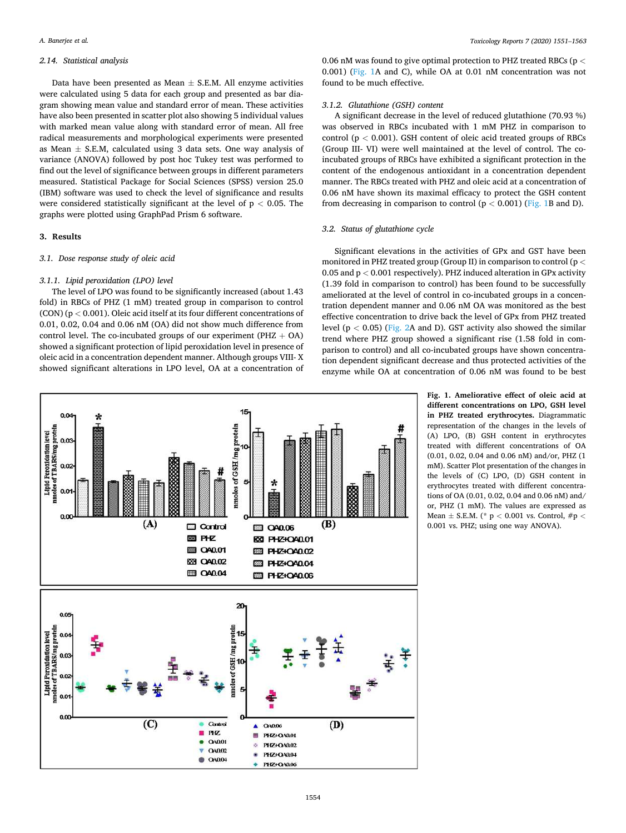# <span id="page-3-0"></span>*2.14. Statistical analysis*

Data have been presented as Mean  $\pm$  S.E.M. All enzyme activities were calculated using 5 data for each group and presented as bar diagram showing mean value and standard error of mean. These activities have also been presented in scatter plot also showing 5 individual values with marked mean value along with standard error of mean. All free radical measurements and morphological experiments were presented as Mean  $\pm$  S.E.M, calculated using 3 data sets. One way analysis of variance (ANOVA) followed by post hoc Tukey test was performed to find out the level of significance between groups in different parameters measured. Statistical Package for Social Sciences (SPSS) version 25.0 (IBM) software was used to check the level of significance and results were considered statistically significant at the level of p *<* 0.05. The graphs were plotted using GraphPad Prism 6 software.

# **3. Results**

# *3.1. Dose response study of oleic acid*

# *3.1.1. Lipid peroxidation (LPO) level*

The level of LPO was found to be significantly increased (about 1.43 fold) in RBCs of PHZ (1 mM) treated group in comparison to control (CON) (p *<* 0.001). Oleic acid itself at its four different concentrations of 0.01, 0.02, 0.04 and 0.06 nM (OA) did not show much difference from control level. The co-incubated groups of our experiment ( $PHZ + OA$ ) showed a significant protection of lipid peroxidation level in presence of oleic acid in a concentration dependent manner. Although groups VIII- X showed significant alterations in LPO level, OA at a concentration of

0.06 nM was found to give optimal protection to PHZ treated RBCs (p *<* 0.001) (Fig. 1A and C), while OA at 0.01 nM concentration was not found to be much effective.

#### *3.1.2. Glutathione (GSH) content*

A significant decrease in the level of reduced glutathione (70.93 %) was observed in RBCs incubated with 1 mM PHZ in comparison to control (p *<* 0.001). GSH content of oleic acid treated groups of RBCs (Group III- VI) were well maintained at the level of control. The coincubated groups of RBCs have exhibited a significant protection in the content of the endogenous antioxidant in a concentration dependent manner. The RBCs treated with PHZ and oleic acid at a concentration of 0.06 nM have shown its maximal efficacy to protect the GSH content from decreasing in comparison to control  $(p < 0.001)$  (Fig. 1B and D).

# *3.2. Status of glutathione cycle*

Significant elevations in the activities of GPx and GST have been monitored in PHZ treated group (Group II) in comparison to control (p *<* 0.05 and p *<* 0.001 respectively). PHZ induced alteration in GPx activity (1.39 fold in comparison to control) has been found to be successfully ameliorated at the level of control in co-incubated groups in a concentration dependent manner and 0.06 nM OA was monitored as the best effective concentration to drive back the level of GPx from PHZ treated level (p *<* 0.05) [\(Fig. 2A](#page-4-0) and D). GST activity also showed the similar trend where PHZ group showed a significant rise (1.58 fold in comparison to control) and all co-incubated groups have shown concentration dependent significant decrease and thus protected activities of the enzyme while OA at concentration of 0.06 nM was found to be best

> **Fig. 1. Ameliorative effect of oleic acid at different concentrations on LPO, GSH level in PHZ treated erythrocytes.** Diagrammatic representation of the changes in the levels of (A) LPO, (B) GSH content in erythrocytes treated with different concentrations of OA (0.01, 0.02, 0.04 and 0.06 nM) and/or, PHZ (1 mM). Scatter Plot presentation of the changes in the levels of (C) LPO, (D) GSH content in erythrocytes treated with different concentrations of OA (0.01, 0.02, 0.04 and 0.06 nM) and/ or, PHZ (1 mM). The values are expressed as Mean ± S.E.M. (\* p *<* 0.001 vs. Control, #p *<* 0.001 vs. PHZ; using one way ANOVA).

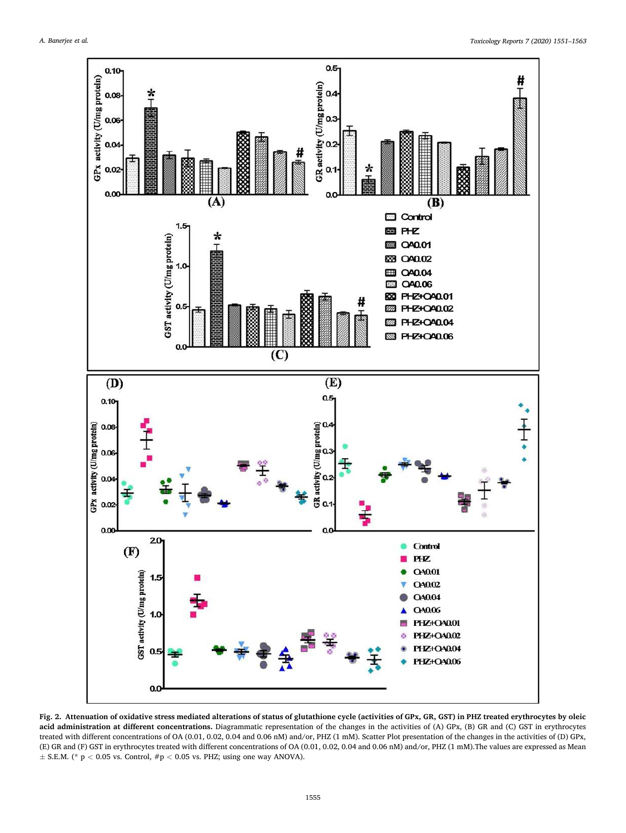<span id="page-4-0"></span>

**Fig. 2. Attenuation of oxidative stress mediated alterations of status of glutathione cycle (activities of GPx, GR, GST) in PHZ treated erythrocytes by oleic acid administration at different concentrations.** Diagrammatic representation of the changes in the activities of (A) GPx, (B) GR and (C) GST in erythrocytes treated with different concentrations of OA (0.01, 0.02, 0.04 and 0.06 nM) and/or, PHZ (1 mM). Scatter Plot presentation of the changes in the activities of (D) GPx, (E) GR and (F) GST in erythrocytes treated with different concentrations of OA (0.01, 0.02, 0.04 and 0.06 nM) and/or, PHZ (1 mM).The values are expressed as Mean ± S.E.M. (\* p *<* 0.05 vs. Control, #p *<* 0.05 vs. PHZ; using one way ANOVA).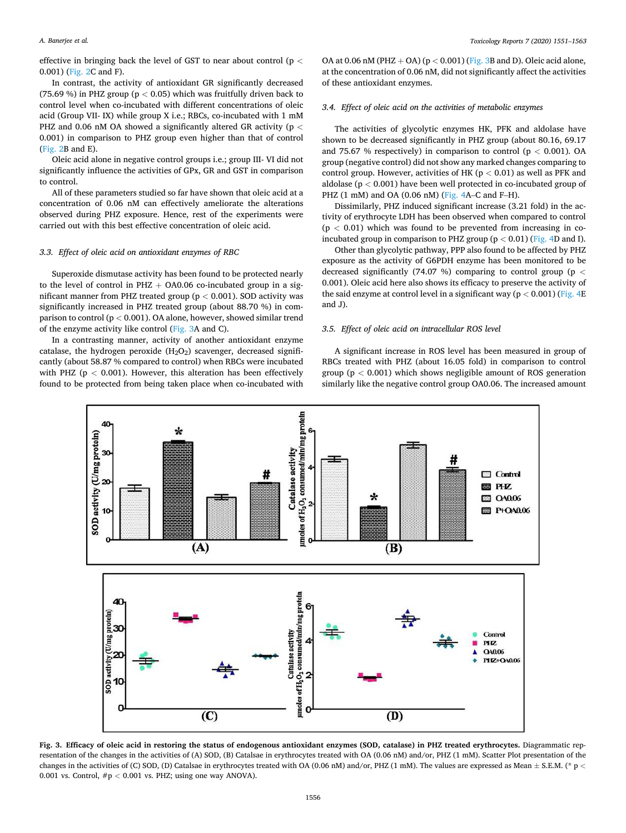#### <span id="page-5-0"></span>*A. Banerjee et al.*

effective in bringing back the level of GST to near about control (p *<* 0.001) [\(Fig. 2](#page-4-0)C and F).

In contrast, the activity of antioxidant GR significantly decreased (75.69 %) in PHZ group (p *<* 0.05) which was fruitfully driven back to control level when co-incubated with different concentrations of oleic acid (Group VII- IX) while group X i.e.; RBCs, co-incubated with 1 mM PHZ and 0.06 nM OA showed a significantly altered GR activity (p *<* 0.001) in comparison to PHZ group even higher than that of control ([Fig. 2B](#page-4-0) and E).

Oleic acid alone in negative control groups i.e.; group III- VI did not significantly influence the activities of GPx, GR and GST in comparison to control.

All of these parameters studied so far have shown that oleic acid at a concentration of 0.06 nM can effectively ameliorate the alterations observed during PHZ exposure. Hence, rest of the experiments were carried out with this best effective concentration of oleic acid.

# *3.3. Effect of oleic acid on antioxidant enzymes of RBC*

Superoxide dismutase activity has been found to be protected nearly to the level of control in PHZ  $+$  OA0.06 co-incubated group in a significant manner from PHZ treated group (p *<* 0.001). SOD activity was significantly increased in PHZ treated group (about 88.70 %) in comparison to control (p *<* 0.001). OA alone, however, showed similar trend of the enzyme activity like control (Fig. 3A and C).

In a contrasting manner, activity of another antioxidant enzyme catalase, the hydrogen peroxide  $(H_2O_2)$  scavenger, decreased significantly (about 58.87 % compared to control) when RBCs were incubated with PHZ (p *<* 0.001). However, this alteration has been effectively found to be protected from being taken place when co-incubated with

OA at 0.06 nM (PHZ + OA) (p *<* 0.001) (Fig. 3B and D). Oleic acid alone, at the concentration of 0.06 nM, did not significantly affect the activities of these antioxidant enzymes.

# *3.4. Effect of oleic acid on the activities of metabolic enzymes*

The activities of glycolytic enzymes HK, PFK and aldolase have shown to be decreased significantly in PHZ group (about 80.16, 69.17 and 75.67 % respectively) in comparison to control (p *<* 0.001). OA group (negative control) did not show any marked changes comparing to control group. However, activities of HK (p *<* 0.01) as well as PFK and aldolase (p *<* 0.001) have been well protected in co-incubated group of PHZ (1 mM) and OA (0.06 nM) [\(Fig. 4](#page-6-0)A–C and F–H).

Dissimilarly, PHZ induced significant increase (3.21 fold) in the activity of erythrocyte LDH has been observed when compared to control (p *<* 0.01) which was found to be prevented from increasing in coincubated group in comparison to PHZ group  $(p < 0.01)$  ([Fig. 4](#page-6-0)D and I).

Other than glycolytic pathway, PPP also found to be affected by PHZ exposure as the activity of G6PDH enzyme has been monitored to be decreased significantly (74.07 %) comparing to control group (p *<* 0.001). Oleic acid here also shows its efficacy to preserve the activity of the said enzyme at control level in a significant way ( $p < 0.001$ ) ([Fig. 4E](#page-6-0)) and J).

# *3.5. Effect of oleic acid on intracellular ROS level*

A significant increase in ROS level has been measured in group of RBCs treated with PHZ (about 16.05 fold) in comparison to control group (p *<* 0.001) which shows negligible amount of ROS generation similarly like the negative control group OA0.06. The increased amount



**Fig. 3. Efficacy of oleic acid in restoring the status of endogenous antioxidant enzymes (SOD, catalase) in PHZ treated erythrocytes.** Diagrammatic representation of the changes in the activities of (A) SOD, (B) Catalsae in erythrocytes treated with OA (0.06 nM) and/or, PHZ (1 mM). Scatter Plot presentation of the changes in the activities of (C) SOD, (D) Catalsae in erythrocytes treated with OA (0.06 nM) and/or, PHZ (1 mM). The values are expressed as Mean ± S.E.M. (\* p *<* 0.001 vs. Control, #p *<* 0.001 vs. PHZ; using one way ANOVA).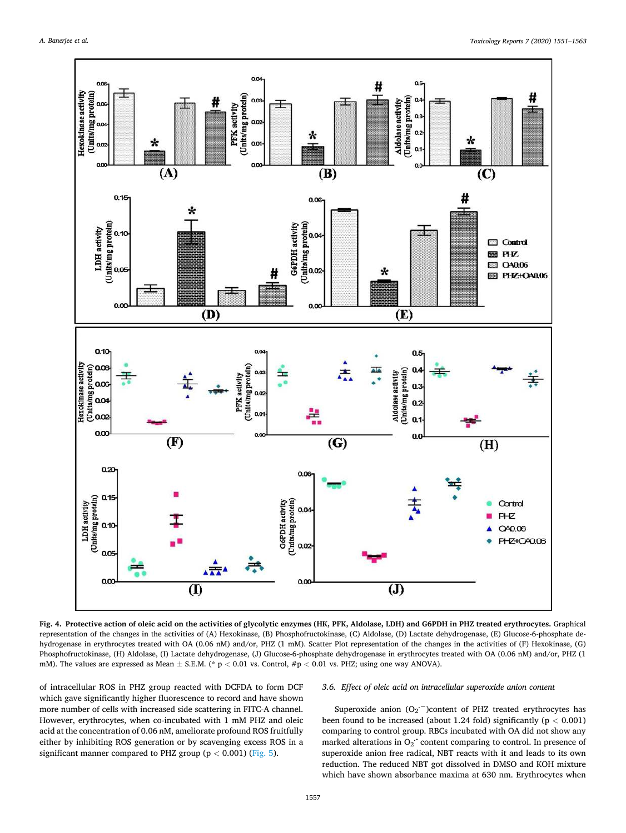<span id="page-6-0"></span>

**Fig. 4. Protective action of oleic acid on the activities of glycolytic enzymes (HK, PFK, Aldolase, LDH) and G6PDH in PHZ treated erythrocytes.** Graphical representation of the changes in the activities of (A) Hexokinase, (B) Phosphofructokinase, (C) Aldolase, (D) Lactate dehydrogenase, (E) Glucose-6-phosphate dehydrogenase in erythrocytes treated with OA (0.06 nM) and/or, PHZ (1 mM). Scatter Plot representation of the changes in the activities of (F) Hexokinase, (G) Phosphofructokinase, (H) Aldolase, (I) Lactate dehydrogenase, (J) Glucose-6-phosphate dehydrogenase in erythrocytes treated with OA (0.06 nM) and/or, PHZ (1 mM). The values are expressed as Mean ± S.E.M. (\* p *<* 0.01 vs. Control, #p *<* 0.01 vs. PHZ; using one way ANOVA).

of intracellular ROS in PHZ group reacted with DCFDA to form DCF which gave significantly higher fluorescence to record and have shown more number of cells with increased side scattering in FITC-A channel. However, erythrocytes, when co-incubated with 1 mM PHZ and oleic acid at the concentration of 0.06 nM, ameliorate profound ROS fruitfully either by inhibiting ROS generation or by scavenging excess ROS in a significant manner compared to PHZ group (p *<* 0.001) [\(Fig. 5](#page-7-0)).

# *3.6. Effect of oleic acid on intracellular superoxide anion content*

Superoxide anion (O<sub>2</sub><sup>--</sup>)content of PHZ treated erythrocytes has been found to be increased (about 1.24 fold) significantly (p *<* 0.001) comparing to control group. RBCs incubated with OA did not show any marked alterations in O<sub>2</sub><sup>-</sup> content comparing to control. In presence of superoxide anion free radical, NBT reacts with it and leads to its own reduction. The reduced NBT got dissolved in DMSO and KOH mixture which have shown absorbance maxima at 630 nm. Erythrocytes when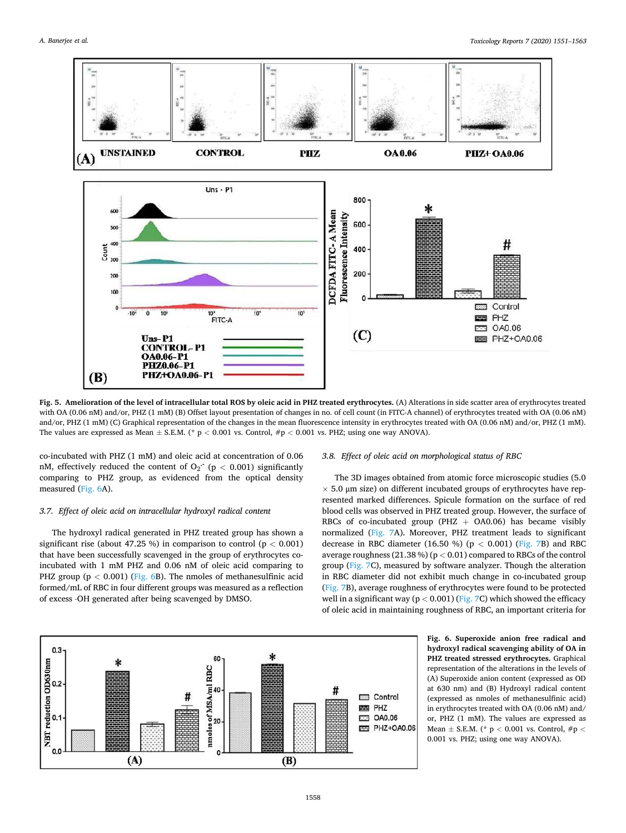<span id="page-7-0"></span>

**Fig. 5. Amelioration of the level of intracellular total ROS by oleic acid in PHZ treated erythrocytes.** (A) Alterations in side scatter area of erythrocytes treated with OA (0.06 nM) and/or, PHZ (1 mM) (B) Offset layout presentation of changes in no. of cell count (in FITC-A channel) of erythrocytes treated with OA (0.06 nM) and/or, PHZ (1 mM) (C) Graphical representation of the changes in the mean fluorescence intensity in erythrocytes treated with OA (0.06 nM) and/or, PHZ (1 mM). The values are expressed as Mean ± S.E.M. (\* p *<* 0.001 vs. Control, #p *<* 0.001 vs. PHZ; using one way ANOVA).

co-incubated with PHZ (1 mM) and oleic acid at concentration of 0.06 nM, effectively reduced the content of O<sub>2</sub><sup> $\cdot$ </sup> (p < 0.001) significantly comparing to PHZ group, as evidenced from the optical density measured (Fig. 6A).

# *3.7. Effect of oleic acid on intracellular hydroxyl radical content*

The hydroxyl radical generated in PHZ treated group has shown a significant rise (about 47.25 %) in comparison to control (p *<* 0.001) that have been successfully scavenged in the group of erythrocytes coincubated with 1 mM PHZ and 0.06 nM of oleic acid comparing to PHZ group (p *<* 0.001) (Fig. 6B). The nmoles of methanesulfinic acid formed/mL of RBC in four different groups was measured as a reflection of excess ⋅OH generated after being scavenged by DMSO.

#### *3.8. Effect of oleic acid on morphological status of RBC*

The 3D images obtained from atomic force microscopic studies (5.0  $\times$  5.0 µm size) on different incubated groups of erythrocytes have represented marked differences. Spicule formation on the surface of red blood cells was observed in PHZ treated group. However, the surface of RBCs of co-incubated group (PHZ  $+$  OA0.06) has became visibly normalized [\(Fig. 7](#page-8-0)A). Moreover, PHZ treatment leads to significant decrease in RBC diameter (16.50 %) (p *<* 0.001) ([Fig. 7B](#page-8-0)) and RBC average roughness (21.38 %) (p *<* 0.01) compared to RBCs of the control group ([Fig. 7C](#page-8-0)), measured by software analyzer. Though the alteration in RBC diameter did not exhibit much change in co-incubated group ([Fig. 7](#page-8-0)B), average roughness of erythrocytes were found to be protected well in a significant way (p *<* 0.001) ([Fig. 7](#page-8-0)C) which showed the efficacy of oleic acid in maintaining roughness of RBC, an important criteria for



**Fig. 6. Superoxide anion free radical and hydroxyl radical scavenging ability of OA in PHZ treated stressed erythrocytes.** Graphical representation of the alterations in the levels of (A) Superoxide anion content (expressed as OD at 630 nm) and (B) Hydroxyl radical content (expressed as nmoles of methanesulfinic acid) in erythrocytes treated with OA (0.06 nM) and/ or, PHZ (1 mM). The values are expressed as Mean ± S.E.M. (\* p *<* 0.001 vs. Control, #p *<* 0.001 vs. PHZ; using one way ANOVA).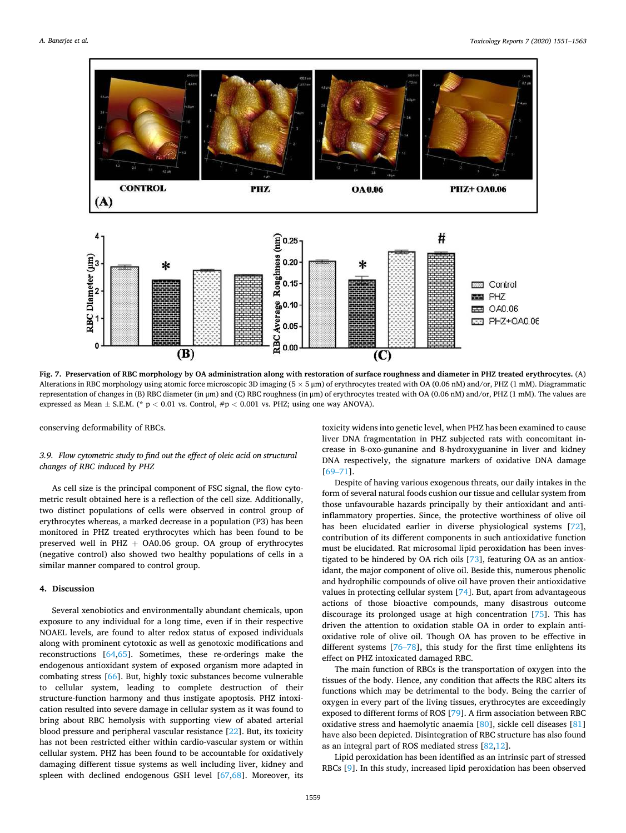<span id="page-8-0"></span>

**Fig. 7. Preservation of RBC morphology by OA administration along with restoration of surface roughness and diameter in PHZ treated erythrocytes.** (A) Alterations in RBC morphology using atomic force microscopic 3D imaging (5 × 5 μm) of erythrocytes treated with OA (0.06 nM) and/or, PHZ (1 mM). Diagrammatic representation of changes in (B) RBC diameter (in μm) and (C) RBC roughness (in μm) of erythrocytes treated with OA (0.06 nM) and/or, PHZ (1 mM). The values are expressed as Mean  $\pm$  S.E.M. (\* p < 0.01 vs. Control,  $\#p$  < 0.001 vs. PHZ; using one way ANOVA).

conserving deformability of RBCs.

# *3.9. Flow cytometric study to find out the effect of oleic acid on structural changes of RBC induced by PHZ*

As cell size is the principal component of FSC signal, the flow cytometric result obtained here is a reflection of the cell size. Additionally, two distinct populations of cells were observed in control group of erythrocytes whereas, a marked decrease in a population (P3) has been monitored in PHZ treated erythrocytes which has been found to be preserved well in PHZ  $+$  OA0.06 group. OA group of erythrocytes (negative control) also showed two healthy populations of cells in a similar manner compared to control group.

# **4. Discussion**

Several xenobiotics and environmentally abundant chemicals, upon exposure to any individual for a long time, even if in their respective NOAEL levels, are found to alter redox status of exposed individuals along with prominent cytotoxic as well as genotoxic modifications and reconstructions [[64,65](#page-12-0)]. Sometimes, these re-orderings make the endogenous antioxidant system of exposed organism more adapted in combating stress [[66\]](#page-12-0). But, highly toxic substances become vulnerable to cellular system, leading to complete destruction of their structure-function harmony and thus instigate apoptosis. PHZ intoxication resulted into severe damage in cellular system as it was found to bring about RBC hemolysis with supporting view of abated arterial blood pressure and peripheral vascular resistance [[22\]](#page-11-0). But, its toxicity has not been restricted either within cardio-vascular system or within cellular system. PHZ has been found to be accountable for oxidatively damaging different tissue systems as well including liver, kidney and spleen with declined endogenous GSH level [[67,68\]](#page-12-0). Moreover, its

toxicity widens into genetic level, when PHZ has been examined to cause liver DNA fragmentation in PHZ subjected rats with concomitant increase in 8-oxo-gunanine and 8-hydroxyguanine in liver and kidney DNA respectively, the signature markers of oxidative DNA damage [69–[71\]](#page-12-0).

Despite of having various exogenous threats, our daily intakes in the form of several natural foods cushion our tissue and cellular system from those unfavourable hazards principally by their antioxidant and antiinflammatory properties. Since, the protective worthiness of olive oil has been elucidated earlier in diverse physiological systems [\[72](#page-12-0)], contribution of its different components in such antioxidative function must be elucidated. Rat microsomal lipid peroxidation has been investigated to be hindered by OA rich oils [\[73](#page-12-0)], featuring OA as an antioxidant, the major component of olive oil. Beside this, numerous phenolic and hydrophilic compounds of olive oil have proven their antioxidative values in protecting cellular system [[74\]](#page-12-0). But, apart from advantageous actions of those bioactive compounds, many disastrous outcome discourage its prolonged usage at high concentration [[75\]](#page-12-0). This has driven the attention to oxidation stable OA in order to explain antioxidative role of olive oil. Though OA has proven to be effective in different systems [\[76](#page-12-0)–78], this study for the first time enlightens its effect on PHZ intoxicated damaged RBC.

The main function of RBCs is the transportation of oxygen into the tissues of the body. Hence, any condition that affects the RBC alters its functions which may be detrimental to the body. Being the carrier of oxygen in every part of the living tissues, erythrocytes are exceedingly exposed to different forms of ROS [[79](#page-12-0)]. A firm association between RBC oxidative stress and haemolytic anaemia [[80\]](#page-12-0), sickle cell diseases [\[81](#page-12-0)] have also been depicted. Disintegration of RBC structure has also found as an integral part of ROS mediated stress [[82,](#page-12-0)[12\]](#page-11-0).

Lipid peroxidation has been identified as an intrinsic part of stressed RBCs [[9\]](#page-11-0). In this study, increased lipid peroxidation has been observed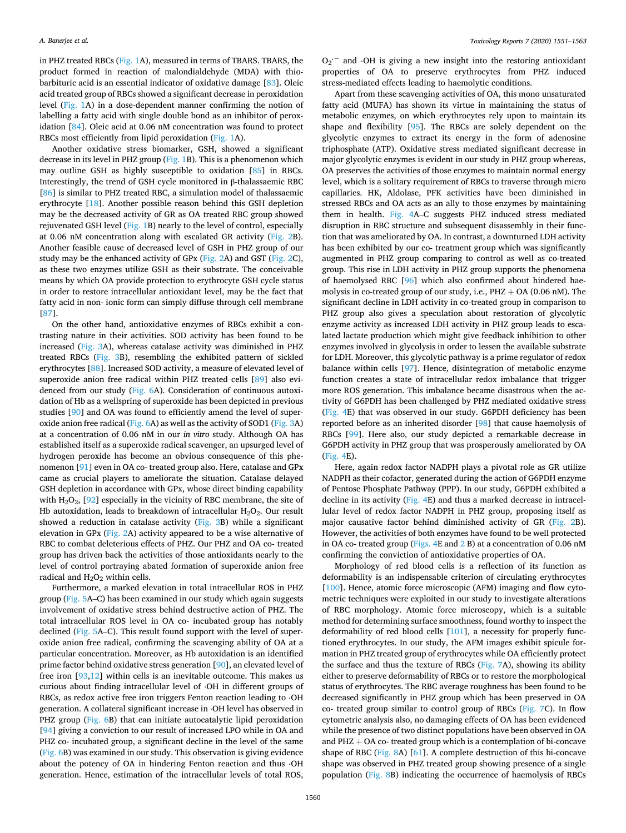in PHZ treated RBCs [\(Fig. 1A](#page-3-0)), measured in terms of TBARS. TBARS, the product formed in reaction of malondialdehyde (MDA) with thiobarbituric acid is an essential indicator of oxidative damage [[83\]](#page-12-0). Oleic acid treated group of RBCs showed a significant decrease in peroxidation level ([Fig. 1A](#page-3-0)) in a dose-dependent manner confirming the notion of labelling a fatty acid with single double bond as an inhibitor of peroxidation [\[84](#page-12-0)]. Oleic acid at 0.06 nM concentration was found to protect RBCs most efficiently from lipid peroxidation [\(Fig. 1](#page-3-0)A).

Another oxidative stress biomarker, GSH, showed a significant decrease in its level in PHZ group [\(Fig. 1B](#page-3-0)). This is a phenomenon which may outline GSH as highly susceptible to oxidation [\[85](#page-12-0)] in RBCs. Interestingly, the trend of GSH cycle monitored in β-thalassaemic RBC [[86\]](#page-12-0) is similar to PHZ treated RBC, a simulation model of thalassaemic erythrocyte [[18\]](#page-11-0). Another possible reason behind this GSH depletion may be the decreased activity of GR as OA treated RBC group showed rejuvenated GSH level ([Fig. 1](#page-3-0)B) nearly to the level of control, especially at 0.06 nM concentration along with escalated GR activity ([Fig. 2B](#page-4-0)). Another feasible cause of decreased level of GSH in PHZ group of our study may be the enhanced activity of GPx [\(Fig. 2](#page-4-0)A) and GST ([Fig. 2](#page-4-0)C), as these two enzymes utilize GSH as their substrate. The conceivable means by which OA provide protection to erythrocyte GSH cycle status in order to restore intracellular antioxidant level, may be the fact that fatty acid in non- ionic form can simply diffuse through cell membrane [[87\]](#page-12-0).

On the other hand, antioxidative enzymes of RBCs exhibit a contrasting nature in their activities. SOD activity has been found to be increased [\(Fig. 3A](#page-5-0)), whereas catalase activity was diminished in PHZ treated RBCs [\(Fig. 3B](#page-5-0)), resembling the exhibited pattern of sickled erythrocytes [[88](#page-12-0)]. Increased SOD activity, a measure of elevated level of superoxide anion free radical within PHZ treated cells [[89](#page-12-0)] also evidenced from our study ([Fig. 6](#page-7-0)A). Consideration of continuous autoxidation of Hb as a wellspring of superoxide has been depicted in previous studies [[90\]](#page-12-0) and OA was found to efficiently amend the level of superoxide anion free radical ([Fig. 6](#page-7-0)A) as well as the activity of SOD1 [\(Fig. 3](#page-5-0)A) at a concentration of 0.06 nM in our *in vitro* study. Although OA has established itself as a superoxide radical scavenger, an upsurged level of hydrogen peroxide has become an obvious consequence of this phenomenon [[91\]](#page-12-0) even in OA co- treated group also. Here, catalase and GPx came as crucial players to ameliorate the situation. Catalase delayed GSH depletion in accordance with GPx, whose direct binding capability with  $H_2O_2$ , [\[92](#page-12-0)] especially in the vicinity of RBC membrane, the site of Hb autoxidation, leads to breakdown of intracellular  $H_2O_2$ . Our result showed a reduction in catalase activity [\(Fig. 3B](#page-5-0)) while a significant elevation in GPx ([Fig. 2A](#page-4-0)) activity appeared to be a wise alternative of RBC to combat deleterious effects of PHZ. Our PHZ and OA co- treated group has driven back the activities of those antioxidants nearly to the level of control portraying abated formation of superoxide anion free radical and  $H<sub>2</sub>O<sub>2</sub>$  within cells.

Furthermore, a marked elevation in total intracellular ROS in PHZ group [\(Fig. 5A](#page-7-0)–C) has been examined in our study which again suggests involvement of oxidative stress behind destructive action of PHZ. The total intracellular ROS level in OA co- incubated group has notably declined ([Fig. 5A](#page-7-0)–C). This result found support with the level of superoxide anion free radical, confirming the scavenging ability of OA at a particular concentration. Moreover, as Hb autoxidation is an identified prime factor behind oxidative stress generation [[90\]](#page-12-0), an elevated level of free iron [[93,](#page-12-0)[12\]](#page-11-0) within cells is an inevitable outcome. This makes us curious about finding intracellular level of ⋅OH in different groups of RBCs, as redox active free iron triggers Fenton reaction leading to ⋅OH generation. A collateral significant increase in ⋅OH level has observed in PHZ group ([Fig. 6B](#page-7-0)) that can initiate autocatalytic lipid peroxidation [[94\]](#page-12-0) giving a conviction to our result of increased LPO while in OA and PHZ co- incubated group, a significant decline in the level of the same ([Fig. 6](#page-7-0)B) was examined in our study. This observation is giving evidence about the potency of OA in hindering Fenton reaction and thus ⋅OH generation. Hence, estimation of the intracellular levels of total ROS,

O<sup>2</sup> **.¡** and ⋅OH is giving a new insight into the restoring antioxidant properties of OA to preserve erythrocytes from PHZ induced stress-mediated effects leading to haemolytic conditions.

Apart from these scavenging activities of OA, this mono unsaturated fatty acid (MUFA) has shown its virtue in maintaining the status of metabolic enzymes, on which erythrocytes rely upon to maintain its shape and flexibility [[95\]](#page-12-0). The RBCs are solely dependent on the glycolytic enzymes to extract its energy in the form of adenosine triphosphate (ATP). Oxidative stress mediated significant decrease in major glycolytic enzymes is evident in our study in PHZ group whereas, OA preserves the activities of those enzymes to maintain normal energy level, which is a solitary requirement of RBCs to traverse through micro capillaries. HK, Aldolase, PFK activities have been diminished in stressed RBCs and OA acts as an ally to those enzymes by maintaining them in health. [Fig. 4A](#page-6-0)–C suggests PHZ induced stress mediated disruption in RBC structure and subsequent disassembly in their function that was ameliorated by OA. In contrast, a downturned LDH activity has been exhibited by our co- treatment group which was significantly augmented in PHZ group comparing to control as well as co-treated group. This rise in LDH activity in PHZ group supports the phenomena of haemolysed RBC [[96\]](#page-12-0) which also confirmed about hindered haemolysis in co-treated group of our study, i.e.,  $PHZ + OA$  (0.06 nM). The significant decline in LDH activity in co-treated group in comparison to PHZ group also gives a speculation about restoration of glycolytic enzyme activity as increased LDH activity in PHZ group leads to escalated lactate production which might give feedback inhibition to other enzymes involved in glycolysis in order to lessen the available substrate for LDH. Moreover, this glycolytic pathway is a prime regulator of redox balance within cells [\[97](#page-12-0)]. Hence, disintegration of metabolic enzyme function creates a state of intracellular redox imbalance that trigger more ROS generation. This imbalance became disastrous when the activity of G6PDH has been challenged by PHZ mediated oxidative stress ([Fig. 4](#page-6-0)E) that was observed in our study. G6PDH deficiency has been reported before as an inherited disorder [\[98](#page-12-0)] that cause haemolysis of RBCs [\[99](#page-12-0)]. Here also, our study depicted a remarkable decrease in G6PDH activity in PHZ group that was prosperously ameliorated by OA ([Fig. 4E](#page-6-0)).

Here, again redox factor NADPH plays a pivotal role as GR utilize NADPH as their cofactor, generated during the action of G6PDH enzyme of Pentose Phosphate Pathway (PPP). In our study, G6PDH exhibited a decline in its activity ([Fig. 4E](#page-6-0)) and thus a marked decrease in intracellular level of redox factor NADPH in PHZ group, proposing itself as major causative factor behind diminished activity of GR ([Fig. 2B](#page-4-0)). However, the activities of both enzymes have found to be well protected in OA co- treated group ([Figs. 4](#page-6-0)E and [2](#page-4-0) B) at a concentration of 0.06 nM confirming the conviction of antioxidative properties of OA.

Morphology of red blood cells is a reflection of its function as deformability is an indispensable criterion of circulating erythrocytes [[100](#page-12-0)]. Hence, atomic force microscopic (AFM) imaging and flow cytometric techniques were exploited in our study to investigate alterations of RBC morphology. Atomic force microscopy, which is a suitable method for determining surface smoothness, found worthy to inspect the deformability of red blood cells [\[101\]](#page-12-0), a necessity for properly functioned erythrocytes. In our study, the AFM images exhibit spicule formation in PHZ treated group of erythrocytes while OA efficiently protect the surface and thus the texture of RBCs ([Fig. 7](#page-8-0)A), showing its ability either to preserve deformability of RBCs or to restore the morphological status of erythrocytes. The RBC average roughness has been found to be decreased significantly in PHZ group which has been preserved in OA co- treated group similar to control group of RBCs [\(Fig. 7](#page-8-0)C). In flow cytometric analysis also, no damaging effects of OA has been evidenced while the presence of two distinct populations have been observed in OA and  $PHZ + OA$  co-treated group which is a contemplation of bi-concave shape of RBC [\(Fig. 8](#page-10-0)A) [\[61](#page-12-0)]. A complete destruction of this bi-concave shape was observed in PHZ treated group showing presence of a single population ([Fig. 8B](#page-10-0)) indicating the occurrence of haemolysis of RBCs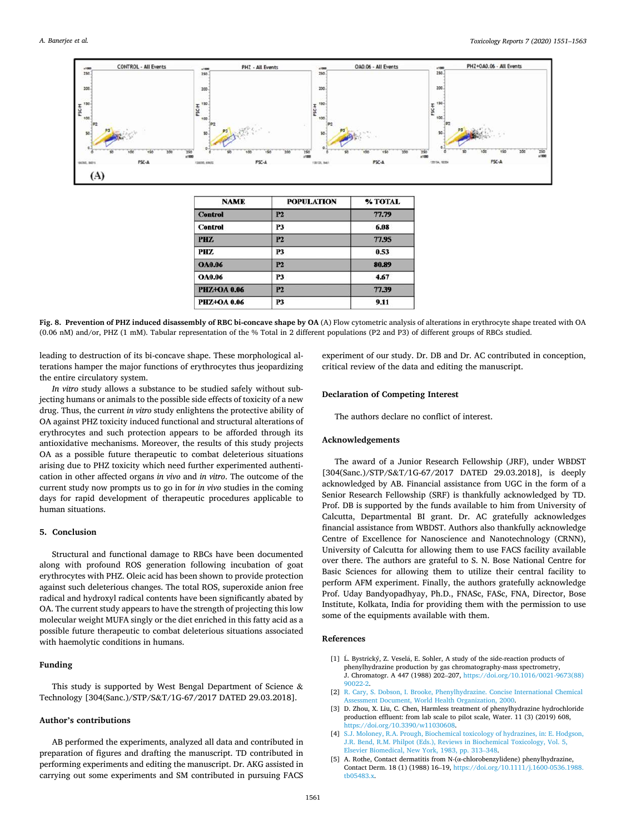<span id="page-10-0"></span>

| <b>NAME</b>        | <b>POPULATION</b> | % TOTAL |
|--------------------|-------------------|---------|
| <b>Control</b>     | P2                | 77.79   |
| <b>Control</b>     | P3                | 6.08    |
| PHZ.               | P2                | 77.95   |
| PHZ.               | <b>P3</b>         | 0.53    |
| <b>OA0.06</b>      | <b>P2</b>         | 80.89   |
| <b>OA0.06</b>      | <b>P3</b>         | 4.67    |
| <b>PHZ+OA 0.06</b> | <b>P2</b>         | 77.39   |
| <b>PHZ+OA 0.06</b> | P <sub>3</sub>    | 9.11    |

**Fig. 8. Prevention of PHZ induced disassembly of RBC bi-concave shape by OA** (A) Flow cytometric analysis of alterations in erythrocyte shape treated with OA (0.06 nM) and/or, PHZ (1 mM). Tabular representation of the % Total in 2 different populations (P2 and P3) of different groups of RBCs studied.

leading to destruction of its bi-concave shape. These morphological alterations hamper the major functions of erythrocytes thus jeopardizing the entire circulatory system.

*In vitro* study allows a substance to be studied safely without subjecting humans or animals to the possible side effects of toxicity of a new drug. Thus, the current *in vitro* study enlightens the protective ability of OA against PHZ toxicity induced functional and structural alterations of erythrocytes and such protection appears to be afforded through its antioxidative mechanisms. Moreover, the results of this study projects OA as a possible future therapeutic to combat deleterious situations arising due to PHZ toxicity which need further experimented authentication in other affected organs *in vivo* and *in vitro*. The outcome of the current study now prompts us to go in for *in vivo* studies in the coming days for rapid development of therapeutic procedures applicable to human situations.

#### **5. Conclusion**

Structural and functional damage to RBCs have been documented along with profound ROS generation following incubation of goat erythrocytes with PHZ. Oleic acid has been shown to provide protection against such deleterious changes. The total ROS, superoxide anion free radical and hydroxyl radical contents have been significantly abated by OA. The current study appears to have the strength of projecting this low molecular weight MUFA singly or the diet enriched in this fatty acid as a possible future therapeutic to combat deleterious situations associated with haemolytic conditions in humans.

# **Funding**

This study is supported by West Bengal Department of Science & Technology [304(Sanc.)/STP/S&T/1G-67/2017 DATED 29.03.2018].

# **Author's contributions**

AB performed the experiments, analyzed all data and contributed in preparation of figures and drafting the manuscript. TD contributed in performing experiments and editing the manuscript. Dr. AKG assisted in carrying out some experiments and SM contributed in pursuing FACS

experiment of our study. Dr. DB and Dr. AC contributed in conception, critical review of the data and editing the manuscript.

#### **Declaration of Competing Interest**

The authors declare no conflict of interest.

#### **Acknowledgements**

The award of a Junior Research Fellowship (JRF), under WBDST [304(Sanc.)/STP/S&T/1G-67/2017 DATED 29.03.2018], is deeply acknowledged by AB. Financial assistance from UGC in the form of a Senior Research Fellowship (SRF) is thankfully acknowledged by TD. Prof. DB is supported by the funds available to him from University of Calcutta, Departmental BI grant. Dr. AC gratefully acknowledges financial assistance from WBDST. Authors also thankfully acknowledge Centre of Excellence for Nanoscience and Nanotechnology (CRNN), University of Calcutta for allowing them to use FACS facility available over there. The authors are grateful to S. N. Bose National Centre for Basic Sciences for allowing them to utilize their central facility to perform AFM experiment. Finally, the authors gratefully acknowledge Prof. Uday Bandyopadhyay, Ph.D., FNASc, FASc, FNA, Director, Bose Institute, Kolkata, India for providing them with the permission to use some of the equipments available with them.

# **References**

- $[1]$  L. Bystrický, Z. Veselá, E. Sohler, A study of the side-reaction products of phenylhydrazine production by gas chromatography-mass spectrometry, J. Chromatogr. A 447 (1988) 202–207, [https://doi.org/10.1016/0021-9673\(88\)](https://doi.org/10.1016/0021-9673(88)90022-2)  [90022-2](https://doi.org/10.1016/0021-9673(88)90022-2).
- [2] [R. Cary, S. Dobson, I. Brooke, Phenylhydrazine. Concise International Chemical](http://refhub.elsevier.com/S2214-7500(20)30430-3/sbref0010)  [Assessment Document, World Health Organization, 2000.](http://refhub.elsevier.com/S2214-7500(20)30430-3/sbref0010)
- [3] D. Zhou, X. Liu, C. Chen, Harmless treatment of phenylhydrazine hydrochloride production effluent: from lab scale to pilot scale, Water. 11 (3) (2019) 608, <https://doi.org/10.3390/w11030608>.
- [4] [S.J. Moloney, R.A. Prough, Biochemical toxicology of hydrazines, in: E. Hodgson,](http://refhub.elsevier.com/S2214-7500(20)30430-3/sbref0020)  [J.R. Bend, R.M. Philpot \(Eds.\), Reviews in Biochemical Toxicology, Vol. 5,](http://refhub.elsevier.com/S2214-7500(20)30430-3/sbref0020) [Elsevier Biomedical, New York, 1983, pp. 313](http://refhub.elsevier.com/S2214-7500(20)30430-3/sbref0020)–348.
- [5] A. Rothe, Contact dermatitis from N-(α-chlorobenzylidene) phenylhydrazine, Contact Derm. 18 (1) (1988) 16–19, [https://doi.org/10.1111/j.1600-0536.1988.](https://doi.org/10.1111/j.1600-0536.1988.tb05483.x)  [tb05483.x](https://doi.org/10.1111/j.1600-0536.1988.tb05483.x).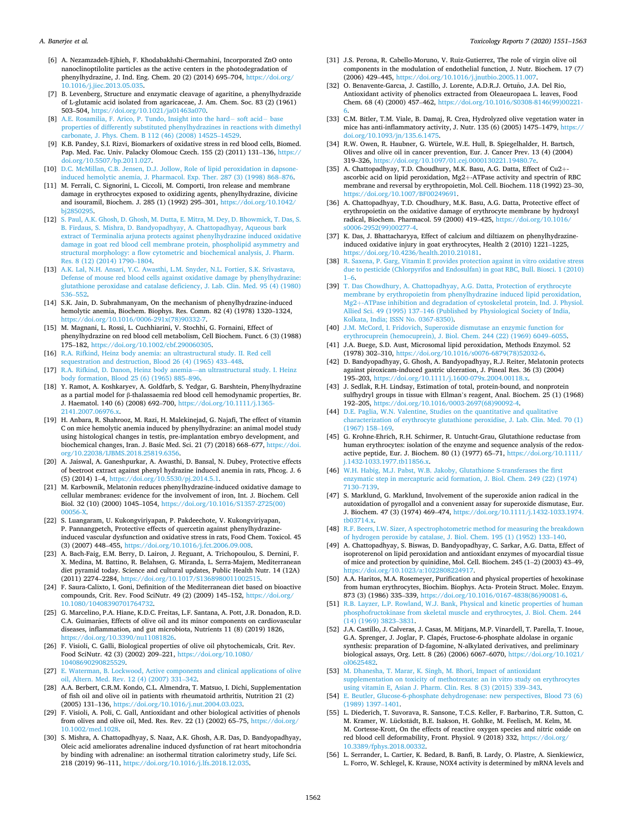- <span id="page-11-0"></span>[7] B. Levenberg, Structure and enzymatic cleavage of agaritine, a phenylhydrazide of L-glutamic acid isolated from agaricaceae, J. Am. Chem. Soc. 83 (2) (1961) 503–504, [https://doi.org/10.1021/ja01463a070.](https://doi.org/10.1021/ja01463a070)
- [8] [A.E. Rosamilia, F. Arico, P. Tundo, Insight into the hard](http://refhub.elsevier.com/S2214-7500(20)30430-3/sbref0040)− soft acid− base [properties of differently substituted phenylhydrazines in reactions with dimethyl](http://refhub.elsevier.com/S2214-7500(20)30430-3/sbref0040)  [carbonate, J. Phys. Chem. B 112 \(46\) \(2008\) 14525](http://refhub.elsevier.com/S2214-7500(20)30430-3/sbref0040)–14529.
- [9] K.B. Pandey, S.I. Rizvi, Biomarkers of oxidative stress in red blood cells, Biomed. Pap. Med. Fac. Univ. Palacky Olomouc Czech. 155 (2) (2011) 131–136, [https://](https://doi.org/10.5507/bp.2011.027)  [doi.org/10.5507/bp.2011.027.](https://doi.org/10.5507/bp.2011.027)
- [10] [D.C. McMillan, C.B. Jensen, D.J. Jollow, Role of lipid peroxidation in dapsone](http://refhub.elsevier.com/S2214-7500(20)30430-3/sbref0050)nduced hemolytic anemia, J. Pharmacol. Exp. Ther. 287 (3) (1998) 868-876.
- [11] M. Ferrali, C. Signorini, L. Ciccoli, M. Comporti, Iron release and membrane damage in erythrocytes exposed to oxidizing agents, phenylhydrazine, divicine and isouramil, Biochem. J. 285 (1) (1992) 295–301, [https://doi.org/10.1042/](https://doi.org/10.1042/bj2850295)
- [bj2850295.](https://doi.org/10.1042/bj2850295) [12] [S. Paul, A.K. Ghosh, D. Ghosh, M. Dutta, E. Mitra, M. Dey, D. Bhowmick, T. Das, S.](http://refhub.elsevier.com/S2214-7500(20)30430-3/sbref0060)  [B. Firdaus, S. Mishra, D. Bandyopadhyay, A. Chattopadhyay, Aqueous bark](http://refhub.elsevier.com/S2214-7500(20)30430-3/sbref0060)  [extract of Terminalia arjuna protects against phenylhydrazine induced oxidative](http://refhub.elsevier.com/S2214-7500(20)30430-3/sbref0060)  [damage in goat red blood cell membrane protein, phospholipid asymmetry and](http://refhub.elsevier.com/S2214-7500(20)30430-3/sbref0060)  [structural morphology: a flow cytometric and biochemical analysis, J. Pharm.](http://refhub.elsevier.com/S2214-7500(20)30430-3/sbref0060) [Res. 8 \(12\) \(2014\) 1790](http://refhub.elsevier.com/S2214-7500(20)30430-3/sbref0060)–1804.
- [13] [A.K. Lal, N.H. Ansari, Y.C. Awasthi, L.M. Snyder, N.L. Fortier, S.K. Srivastava,](http://refhub.elsevier.com/S2214-7500(20)30430-3/sbref0065)  [Defense of mouse red blood cells against oxidative damage by phenylhydrazine:](http://refhub.elsevier.com/S2214-7500(20)30430-3/sbref0065)  [glutathione peroxidase and catalase deficiency, J. Lab. Clin. Med. 95 \(4\) \(1980\)](http://refhub.elsevier.com/S2214-7500(20)30430-3/sbref0065) 536–[552.](http://refhub.elsevier.com/S2214-7500(20)30430-3/sbref0065)
- [14] S.K. Jain, D. Subrahmanyam, On the mechanism of phenylhydrazine-induced hemolytic anemia, Biochem. Biophys. Res. Comm. 82 (4) (1978) 1320–1324, [https://doi.org/10.1016/0006-291x\(78\)90332-7.](https://doi.org/10.1016/0006-291x(78)90332-7)
- [15] M. Magnani, L. Rossi, L. Cuchhiarini, V. Stochhi, G. Fornaini, Effect of phenylhydrazine on red blood cell metabolism, Cell Biochem. Funct. 6 (3) (1988) 175–182, <https://doi.org/10.1002/cbf.290060305>.
- [16] R.A. Rifkind, Heinz body anemia: an ultrastructural study. II. Red cell [sequestration and destruction, Blood 26 \(4\) \(1965\) 433](http://refhub.elsevier.com/S2214-7500(20)30430-3/sbref0080)–448.
- [17] [R.A. Rifkind, D. Danon, Heinz body anemia](http://refhub.elsevier.com/S2214-7500(20)30430-3/sbref0085)—an ultrastructural study. I. Heinz [body formation, Blood 25 \(6\) \(1965\) 885](http://refhub.elsevier.com/S2214-7500(20)30430-3/sbref0085)–896.
- [18] Y. Ramot, A. Koshkaryev, A. Goldfarb, S. Yedgar, G. Barshtein, Phenylhydrazine as a partial model for β-thalassaemia red blood cell hemodynamic properties, Br. J. Haematol. 140 (6) (2008) 692–700, [https://doi.org/10.1111/j.1365-](https://doi.org/10.1111/j.1365-2141.2007.06976.x)  [2141.2007.06976.x](https://doi.org/10.1111/j.1365-2141.2007.06976.x).
- [19] H. Anbara, R. Shahrooz, M. Razi, H. Malekinejad, G. Najafi, The effect of vitamin C on mice hemolytic anemia induced by phenylhydrazine: an animal model study using histological changes in testis, pre-implantation embryo development, and biochemical changes, Iran. J. Basic Med. Sci. 21 (7) (2018) 668–677, [https://doi.](https://doi.org/10.22038/IJBMS.2018.25819.6356)  [org/10.22038/IJBMS.2018.25819.6356.](https://doi.org/10.22038/IJBMS.2018.25819.6356)
- [20] A. Jaiswal, A. Ganeshpurkar, A. Awasthi, D. Bansal, N. Dubey, Protective effects of beetroot extract against phenyl hydrazine induced anemia in rats, Phcog. J. 6 (5) (2014) 1–4, <https://doi.org/10.5530/pj.2014.5.1>.
- [21] M. Karbownik, Melatonin reduces phenylhydrazine-induced oxidative damage to cellular membranes: evidence for the involvement of iron, Int. J. Biochem. Cell Biol. 32 (10) (2000) 1045–1054, [https://doi.org/10.1016/S1357-2725\(00\)](https://doi.org/10.1016/S1357-2725(00)00056-X)  [00056-X](https://doi.org/10.1016/S1357-2725(00)00056-X).
- [22] S. Luangaram, U. Kukongviriyapan, P. Pakdeechote, V. Kukongviriyapan, P. Pannangpetch, Protective effects of quercetin against phenylhydrazineinduced vascular dysfunction and oxidative stress in rats, Food Chem. Toxicol. 45 (3) (2007) 448–455, [https://doi.org/10.1016/j.fct.2006.09.008.](https://doi.org/10.1016/j.fct.2006.09.008)
- [23] A. Bach-Faig, E.M. Berry, D. Lairon, J. Reguant, A. Trichopoulou, S. Dernini, F. X. Medina, M. Battino, R. Belahsen, G. Miranda, L. Serra-Majem, Mediterranean diet pyramid today. Science and cultural updates, Public Health Nutr. 14 (12A) (2011) 2274–2284, [https://doi.org/10.1017/S1368980011002515.](https://doi.org/10.1017/S1368980011002515)
- [24] F. Saura-Calixto, I. Goni, Definition of the Mediterranean diet based on bioactive compounds, Crit. Rev. Food SciNutr. 49 (2) (2009) 145–152, [https://doi.org/](https://doi.org/10.1080/10408390701764732)  [10.1080/10408390701764732.](https://doi.org/10.1080/10408390701764732)
- [25] G. Marcelino, P.A. Hiane, K.D.C. Freitas, L.F. Santana, A. Pott, J.R. Donadon, R.D. C.A. Guimarães, Effects of olive oil and its minor components on cardiovascular diseases, inflammation, and gut microbiota, Nutrients 11 (8) (2019) 1826, [https://doi.org/10.3390/nu11081826.](https://doi.org/10.3390/nu11081826)
- [26] F. Visioli, C. Galli, Biological properties of olive oil phytochemicals, Crit. Rev. Food SciNutr. 42 (3) (2002) 209–221, [https://doi.org/10.1080/](https://doi.org/10.1080/10408690290825529)  1040869029082
- [27] [E. Waterman, B. Lockwood, Active components and clinical applications of olive](http://refhub.elsevier.com/S2214-7500(20)30430-3/sbref0135)  [oil, Altern. Med. Rev. 12 \(4\) \(2007\) 331](http://refhub.elsevier.com/S2214-7500(20)30430-3/sbref0135)–342.
- [28] A.A. Berbert, C.R.M. Kondo, C.L. Almendra, T. Matsuo, I. Dichi, Supplementation of fish oil and olive oil in patients with rheumatoid arthritis, Nutrition 21 (2) (2005) 131–136, [https://doi.org/10.1016/j.nut.2004.03.023.](https://doi.org/10.1016/j.nut.2004.03.023)
- [29] F. Visioli, A. Poli, C. Gall, Antioxidant and other biological activities of phenols from olives and olive oil, Med. Res. Rev. 22 (1) (2002) 65-75, https://doi.org [10.1002/med.1028.](https://doi.org/10.1002/med.1028)
- [30] S. Mishra, A. Chattopadhyay, S. Naaz, A.K. Ghosh, A.R. Das, D. Bandyopadhyay, Oleic acid ameliorates adrenaline induced dysfunction of rat heart mitochondria by binding with adrenaline: an isothermal titration calorimetry study, Life Sci. 218 (2019) 96–111, [https://doi.org/10.1016/j.lfs.2018.12.035.](https://doi.org/10.1016/j.lfs.2018.12.035)
- [31] J.S. Perona, R. Cabello-Moruno, V. Ruiz-Gutierrez, The role of virgin olive oil components in the modulation of endothelial function, J. Nutr. Biochem. 17 (7) (2006) 429–445, <https://doi.org/10.1016/j.jnutbio.2005.11.007>.
- [32] O. Benavente-Garcıa, J. Castillo, J. Lorente, A.D.R.J. Ortuño, J.A. Del Rio Antioxidant activity of phenolics extracted from Oleaeuropaea L. leaves, Food Chem. 68 (4) (2000) 457–462, [https://doi.org/10.1016/S0308-8146\(99\)00221-](https://doi.org/10.1016/S0308-8146(99)00221-6)
- [6.](https://doi.org/10.1016/S0308-8146(99)00221-6) [33] C.M. Bitler, T.M. Viale, B. Damaj, R. Crea, Hydrolyzed olive vegetation water in mice has anti-inflammatory activity, J. Nutr. 135 (6) (2005) 1475–1479, [https://](https://doi.org/10.1093/jn/135.6.1475)  [doi.org/10.1093/jn/135.6.1475.](https://doi.org/10.1093/jn/135.6.1475)
- R.W. Owen, R. Haubner, G. Würtele, W.E. Hull, B. Spiegelhalder, H. Bartsch, Olives and olive oil in cancer prevention, Eur. J. Cancer Prev. 13 (4) (2004) 319–326, <https://doi.org/10.1097/01.cej.0000130221.19480.7e>.
- [35] A. Chattopadhyay, T.D. Choudhury, M.K. Basu, A.G. Datta, Effect of Cu2+ ascorbic acid on lipid peroxidation, Mg2+-ATPase activity and spectrin of RBC membrane and reversal by erythropoietin, Mol. Cell. Biochem. 118 (1992) 23–30, [https://doi.org/10.1007/BF00249691.](https://doi.org/10.1007/BF00249691)
- [36] A. Chattopadhyay, T.D. Choudhury, M.K. Basu, A.G. Datta, Protective effect of erythropoietin on the oxidative damage of erythrocyte membrane by hydroxyl radical, Biochem. Pharmacol. 59 (2000) 419–425, [https://doi.org/10.1016/](https://doi.org/10.1016/s0006-2952(99)00277-4)  [s0006-2952\(99\)00277-4.](https://doi.org/10.1016/s0006-2952(99)00277-4)
- [37] K. Das, J. Bhattacharyya, Effect of calcium and diltiazem on phenylhydrazineinduced oxidative injury in goat erythrocytes, Health 2 (2010) 1221–1225, <https://doi.org/10.4236/health.2010.210181>.
- [38] [R. Saxena, P. Garg, Vitamin E provides protection against in vitro oxidative stress](http://refhub.elsevier.com/S2214-7500(20)30430-3/sbref0190)  [due to pesticide \(Chlorpyrifos and Endosulfan\) in goat RBC, Bull. Biosci. 1 \(2010\)](http://refhub.elsevier.com/S2214-7500(20)30430-3/sbref0190)  [1](http://refhub.elsevier.com/S2214-7500(20)30430-3/sbref0190)–6.
- [39] [T. Das Chowdhury, A. Chattopadhyay, A.G. Datta, Protection of erythrocyte](http://refhub.elsevier.com/S2214-7500(20)30430-3/sbref0195)  [membrane by erythropoietin from phenylhydrazine induced lipid peroxidation,](http://refhub.elsevier.com/S2214-7500(20)30430-3/sbref0195) Mg2+[-ATPase inhibition and degradation of cytoskeletal protein, Ind. J. Physiol.](http://refhub.elsevier.com/S2214-7500(20)30430-3/sbref0195)  Allied Sci. 49 (1995) 137–[146 \(Published by Physiological Society of India,](http://refhub.elsevier.com/S2214-7500(20)30430-3/sbref0195)  [Kolkata, India; ISSN No. 0367-8350\).](http://refhub.elsevier.com/S2214-7500(20)30430-3/sbref0195)
- [40] [J.M. McCord, I. Fridovich, Superoxide dismutase an enzymic function for](http://refhub.elsevier.com/S2214-7500(20)30430-3/sbref0200) [erythrocuprein \(hemocuprein\), J. Biol. Chem. 244 \(22\) \(1969\) 6049](http://refhub.elsevier.com/S2214-7500(20)30430-3/sbref0200)–6055.
- [41] J.A. Buege, S.D. Aust, Microsomal lipid peroxidation, Methods Enzymol. 52 (1978) 302–310, [https://doi.org/10.1016/s0076-6879\(78\)52032-6.](https://doi.org/10.1016/s0076-6879(78)52032-6)
- [42] D. Bandyopadhyay, G. Ghosh, A. Bandyopadhyay, R.J. Reiter, Melatonin protects against piroxicam-induced gastric ulceration, J. Pineal Res. 36 (3) (2004) 195–203, [https://doi.org/10.1111/j.1600-079x.2004.00118.x.](https://doi.org/10.1111/j.1600-079x.2004.00118.x)
- [43] J. Sedlak, R.H. Lindsay, Estimation of total, protein-bound, and nonprotein sulfhydryl groups in tissue with Ellman's reagent, Anal. Biochem. 25 (1) (1968) 192–205, [https://doi.org/10.1016/0003-2697\(68\)90092-4.](https://doi.org/10.1016/0003-2697(68)90092-4)
- [44] [D.E. Paglia, W.N. Valentine, Studies on the quantitative and qualitative](http://refhub.elsevier.com/S2214-7500(20)30430-3/sbref0220) [characterization of erythrocyte glutathione peroxidise, J. Lab. Clin. Med. 70 \(1\)](http://refhub.elsevier.com/S2214-7500(20)30430-3/sbref0220)  [\(1967\) 158](http://refhub.elsevier.com/S2214-7500(20)30430-3/sbref0220)–169.
- [45] G. Krohne-Ehrich, R.H. Schirmer, R. Untucht-Grau, Glutathione reductase from human erythrocytes: isolation of the enzyme and sequence analysis of the redoxactive peptide, Eur. J. Biochem. 80 (1) (1977) 65–71, [https://doi.org/10.1111/](https://doi.org/10.1111/j.1432-1033.1977.tb11856.x) [j.1432-1033.1977.tb11856.x](https://doi.org/10.1111/j.1432-1033.1977.tb11856.x).
- [46] [W.H. Habig, M.J. Pabst, W.B. Jakoby, Glutathione S-transferases the first](http://refhub.elsevier.com/S2214-7500(20)30430-3/sbref0230)  [enzymatic step in mercapturic acid formation, J. Biol. Chem. 249 \(22\) \(1974\)](http://refhub.elsevier.com/S2214-7500(20)30430-3/sbref0230) [7130](http://refhub.elsevier.com/S2214-7500(20)30430-3/sbref0230)–7139.
- [47] S. Marklund, G. Marklund, Involvement of the superoxide anion radical in the autoxidation of pyrogallol and a convenient assay for superoxide dismutase, Eur. J. Biochem. 47 (3) (1974) 469–474, [https://doi.org/10.1111/j.1432-1033.1974.](https://doi.org/10.1111/j.1432-1033.1974.tb03714.x)  [tb03714.x.](https://doi.org/10.1111/j.1432-1033.1974.tb03714.x)
- [48] [R.F. Beers, I.W. Sizer, A spectrophotometric method for measuring the breakdown](http://refhub.elsevier.com/S2214-7500(20)30430-3/sbref0240)  [of hydrogen peroxide by catalase, J. Biol. Chem. 195 \(1\) \(1952\) 133](http://refhub.elsevier.com/S2214-7500(20)30430-3/sbref0240)–140.
- [49] A. Chattopadhyay, S. Biswas, D. Bandyopadhyay, C. Sarkar, A.G. Datta, Effect of isoproterenol on lipid peroxidation and antioxidant enzymes of myocardial tissue of mice and protection by quinidine, Mol. Cell. Biochem. 245 (1–2) (2003) 43–49, [https://doi.org/10.1023/a:1022808224917.](https://doi.org/10.1023/a:1022808224917)
- [50] A.A. Haritos, M.A. Rosemeyer, Purification and physical properties of hexokinase from human erythrocytes, Biochim. Biophys. Acta- Protein Struct. Molec. Enzym. 873 (3) (1986) 335–339, [https://doi.org/10.1016/0167-4838\(86\)90081-6.](https://doi.org/10.1016/0167-4838(86)90081-6)
- R.B. Layzer, L.P. Rowland, W.J. Bank, Physical and kinetic properties of human [phosphofructokinase from skeletal muscle and erythrocytes, J. Biol. Chem. 244](http://refhub.elsevier.com/S2214-7500(20)30430-3/sbref0255) [\(14\) \(1969\) 3823](http://refhub.elsevier.com/S2214-7500(20)30430-3/sbref0255)–3831.
- [52] J.A. Castillo, J. Calveras, J. Casas, M. Mitjans, M.P. Vinardell, T. Parella, T. Inoue, G.A. Sprenger, J. Joglar, P. Clapés, Fructose-6-phosphate aldolase in organic synthesis: preparation of D-fagomine, N-alkylated derivatives, and preliminary biological assays, Org. Lett. 8 (26) (2006) 6067–6070, [https://doi.org/10.1021/](https://doi.org/10.1021/ol0625482)  [ol0625482.](https://doi.org/10.1021/ol0625482)
- [53] [M. Dhanesha, T. Marar, K. Singh, M. Bhori, Impact of antioxidant](http://refhub.elsevier.com/S2214-7500(20)30430-3/sbref0265)  [supplementation on toxicity of methotrexate: an in vitro study on erythrocytes](http://refhub.elsevier.com/S2214-7500(20)30430-3/sbref0265)  [using vitamin E, Asian J. Pharm. Clin. Res. 8 \(3\) \(2015\) 339](http://refhub.elsevier.com/S2214-7500(20)30430-3/sbref0265)–343.
- [54] [E. Beutler, Glucose-6-phosphate dehydrogenase: new perspectives, Blood 73 \(6\)](http://refhub.elsevier.com/S2214-7500(20)30430-3/sbref0270) [\(1989\) 1397](http://refhub.elsevier.com/S2214-7500(20)30430-3/sbref0270)–1401.
- [55] L. Diederich, T. Suvorava, R. Sansone, T.C.S. Keller, F. Barbarino, T.R. Sutton, C. M. Kramer, W. Lückstadt, B.E. Isakson, H. Gohlke, M. Feelisch, M. Kelm, M. ¨ M. Cortesse-Krott, On the effects of reactive oxygen species and nitric oxide on red blood cell deformability, Front. Physiol. 9 (2018) 332, [https://doi.org/](https://doi.org/10.3389/fphys.2018.00332) [10.3389/fphys.2018.00332.](https://doi.org/10.3389/fphys.2018.00332)
- [56] L. Serrander, L. Cartier, K. Bedard, B. Banfi, B. Lardy, O. Plastre, A. Sienkiewicz, L. Forro, W. Schlegel, K. Krause, NOX4 activity is determined by mRNA levels and